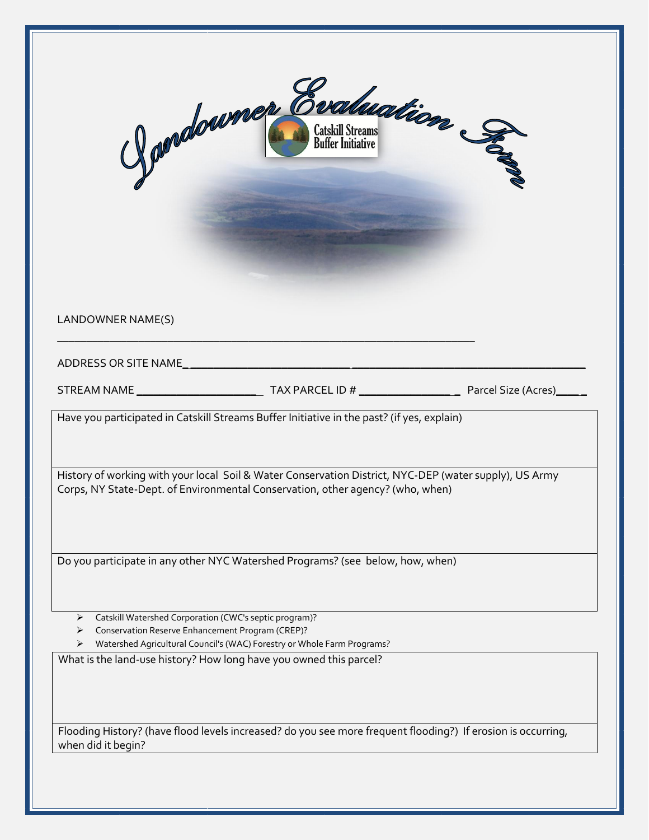| Romalowner Bualaation                                                                                                                                                                           |                                                                         |  |
|-------------------------------------------------------------------------------------------------------------------------------------------------------------------------------------------------|-------------------------------------------------------------------------|--|
| LANDOWNER NAME(S)                                                                                                                                                                               |                                                                         |  |
|                                                                                                                                                                                                 |                                                                         |  |
|                                                                                                                                                                                                 |                                                                         |  |
| History of working with your local Soil & Water Conservation District, NYC-DEP (water supply), US Army<br>Corps, NY State-Dept. of Environmental Conservation, other agency? (who, when)        |                                                                         |  |
| Do you participate in any other NYC Watershed Programs? (see below, how, when)                                                                                                                  |                                                                         |  |
| Catskill Watershed Corporation (CWC's septic program)?<br>➤<br>Conservation Reserve Enhancement Program (CREP)?<br>➤<br>➤<br>What is the land-use history? How long have you owned this parcel? | Watershed Agricultural Council's (WAC) Forestry or Whole Farm Programs? |  |
| Flooding History? (have flood levels increased? do you see more frequent flooding?) If erosion is occurring,                                                                                    |                                                                         |  |